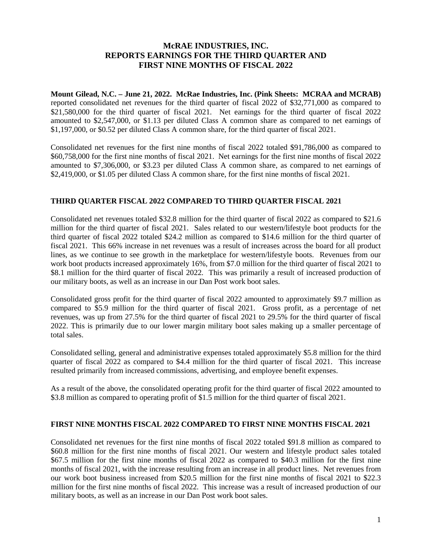### **McRAE INDUSTRIES, INC. REPORTS EARNINGS FOR THE THIRD QUARTER AND FIRST NINE MONTHS OF FISCAL 2022**

**Mount Gilead, N.C. – June 21, 2022. McRae Industries, Inc. (Pink Sheets: MCRAA and MCRAB)** reported consolidated net revenues for the third quarter of fiscal 2022 of \$32,771,000 as compared to \$21,580,000 for the third quarter of fiscal 2021. Net earnings for the third quarter of fiscal 2022 amounted to \$2,547,000, or \$1.13 per diluted Class A common share as compared to net earnings of \$1,197,000, or \$0.52 per diluted Class A common share, for the third quarter of fiscal 2021.

Consolidated net revenues for the first nine months of fiscal 2022 totaled \$91,786,000 as compared to \$60,758,000 for the first nine months of fiscal 2021. Net earnings for the first nine months of fiscal 2022 amounted to \$7,306,000, or \$3.23 per diluted Class A common share, as compared to net earnings of \$2,419,000, or \$1.05 per diluted Class A common share, for the first nine months of fiscal 2021.

#### **THIRD QUARTER FISCAL 2022 COMPARED TO THIRD QUARTER FISCAL 2021**

Consolidated net revenues totaled \$32.8 million for the third quarter of fiscal 2022 as compared to \$21.6 million for the third quarter of fiscal 2021. Sales related to our western/lifestyle boot products for the third quarter of fiscal 2022 totaled \$24.2 million as compared to \$14.6 million for the third quarter of fiscal 2021. This 66% increase in net revenues was a result of increases across the board for all product lines, as we continue to see growth in the marketplace for western/lifestyle boots. Revenues from our work boot products increased approximately 16%, from \$7.0 million for the third quarter of fiscal 2021 to \$8.1 million for the third quarter of fiscal 2022. This was primarily a result of increased production of our military boots, as well as an increase in our Dan Post work boot sales.

Consolidated gross profit for the third quarter of fiscal 2022 amounted to approximately \$9.7 million as compared to \$5.9 million for the third quarter of fiscal 2021. Gross profit, as a percentage of net revenues, was up from 27.5% for the third quarter of fiscal 2021 to 29.5% for the third quarter of fiscal 2022. This is primarily due to our lower margin military boot sales making up a smaller percentage of total sales.

Consolidated selling, general and administrative expenses totaled approximately \$5.8 million for the third quarter of fiscal 2022 as compared to \$4.4 million for the third quarter of fiscal 2021. This increase resulted primarily from increased commissions, advertising, and employee benefit expenses.

As a result of the above, the consolidated operating profit for the third quarter of fiscal 2022 amounted to \$3.8 million as compared to operating profit of \$1.5 million for the third quarter of fiscal 2021.

#### **FIRST NINE MONTHS FISCAL 2022 COMPARED TO FIRST NINE MONTHS FISCAL 2021**

Consolidated net revenues for the first nine months of fiscal 2022 totaled \$91.8 million as compared to \$60.8 million for the first nine months of fiscal 2021. Our western and lifestyle product sales totaled \$67.5 million for the first nine months of fiscal 2022 as compared to \$40.3 million for the first nine months of fiscal 2021, with the increase resulting from an increase in all product lines. Net revenues from our work boot business increased from \$20.5 million for the first nine months of fiscal 2021 to \$22.3 million for the first nine months of fiscal 2022. This increase was a result of increased production of our military boots, as well as an increase in our Dan Post work boot sales.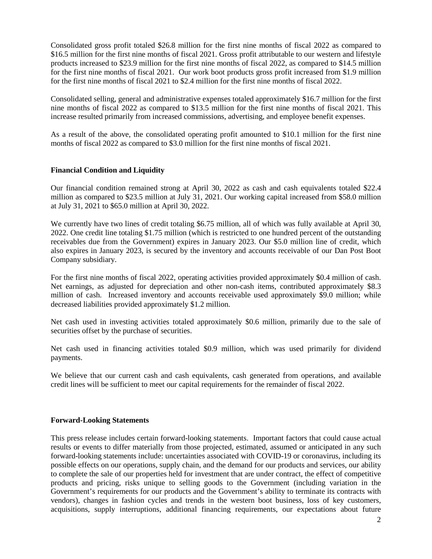Consolidated gross profit totaled \$26.8 million for the first nine months of fiscal 2022 as compared to \$16.5 million for the first nine months of fiscal 2021. Gross profit attributable to our western and lifestyle products increased to \$23.9 million for the first nine months of fiscal 2022, as compared to \$14.5 million for the first nine months of fiscal 2021. Our work boot products gross profit increased from \$1.9 million for the first nine months of fiscal 2021 to \$2.4 million for the first nine months of fiscal 2022.

Consolidated selling, general and administrative expenses totaled approximately \$16.7 million for the first nine months of fiscal 2022 as compared to \$13.5 million for the first nine months of fiscal 2021. This increase resulted primarily from increased commissions, advertising, and employee benefit expenses.

As a result of the above, the consolidated operating profit amounted to \$10.1 million for the first nine months of fiscal 2022 as compared to \$3.0 million for the first nine months of fiscal 2021.

### **Financial Condition and Liquidity**

Our financial condition remained strong at April 30, 2022 as cash and cash equivalents totaled \$22.4 million as compared to \$23.5 million at July 31, 2021. Our working capital increased from \$58.0 million at July 31, 2021 to \$65.0 million at April 30, 2022.

We currently have two lines of credit totaling \$6.75 million, all of which was fully available at April 30, 2022. One credit line totaling \$1.75 million (which is restricted to one hundred percent of the outstanding receivables due from the Government) expires in January 2023. Our \$5.0 million line of credit, which also expires in January 2023, is secured by the inventory and accounts receivable of our Dan Post Boot Company subsidiary.

For the first nine months of fiscal 2022, operating activities provided approximately \$0.4 million of cash. Net earnings, as adjusted for depreciation and other non-cash items, contributed approximately \$8.3 million of cash. Increased inventory and accounts receivable used approximately \$9.0 million; while decreased liabilities provided approximately \$1.2 million.

Net cash used in investing activities totaled approximately \$0.6 million, primarily due to the sale of securities offset by the purchase of securities.

Net cash used in financing activities totaled \$0.9 million, which was used primarily for dividend payments.

We believe that our current cash and cash equivalents, cash generated from operations, and available credit lines will be sufficient to meet our capital requirements for the remainder of fiscal 2022.

#### **Forward-Looking Statements**

This press release includes certain forward-looking statements. Important factors that could cause actual results or events to differ materially from those projected, estimated, assumed or anticipated in any such forward-looking statements include: uncertainties associated with COVID-19 or coronavirus, including its possible effects on our operations, supply chain, and the demand for our products and services, our ability to complete the sale of our properties held for investment that are under contract, the effect of competitive products and pricing, risks unique to selling goods to the Government (including variation in the Government's requirements for our products and the Government's ability to terminate its contracts with vendors), changes in fashion cycles and trends in the western boot business, loss of key customers, acquisitions, supply interruptions, additional financing requirements, our expectations about future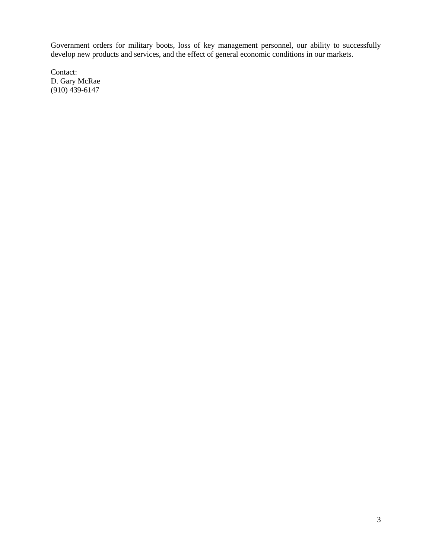Government orders for military boots, loss of key management personnel, our ability to successfully develop new products and services, and the effect of general economic conditions in our markets.

Contact: D. Gary McRae (910) 439-6147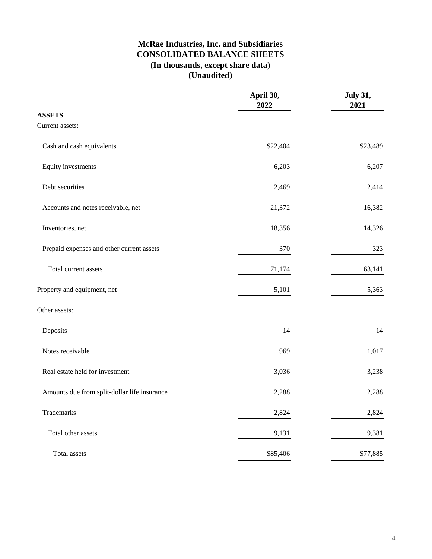# **McRae Industries, Inc. and Subsidiaries CONSOLIDATED BALANCE SHEETS (In thousands, except share data) (Unaudited)**

|                                              | April 30,<br>2022 | <b>July 31,</b><br>2021 |
|----------------------------------------------|-------------------|-------------------------|
| <b>ASSETS</b>                                |                   |                         |
| Current assets:                              |                   |                         |
| Cash and cash equivalents                    | \$22,404          | \$23,489                |
| Equity investments                           | 6,203             | 6,207                   |
| Debt securities                              | 2,469             | 2,414                   |
| Accounts and notes receivable, net           | 21,372            | 16,382                  |
| Inventories, net                             | 18,356            | 14,326                  |
| Prepaid expenses and other current assets    | 370               | 323                     |
| Total current assets                         | 71,174            | 63,141                  |
| Property and equipment, net                  | 5,101             | 5,363                   |
| Other assets:                                |                   |                         |
| Deposits                                     | 14                | 14                      |
| Notes receivable                             | 969               | 1,017                   |
| Real estate held for investment              | 3,036             | 3,238                   |
| Amounts due from split-dollar life insurance | 2,288             | 2,288                   |
| Trademarks                                   | 2,824             | 2,824                   |
| Total other assets                           | 9,131             | 9,381                   |
| Total assets                                 | \$85,406          | \$77,885                |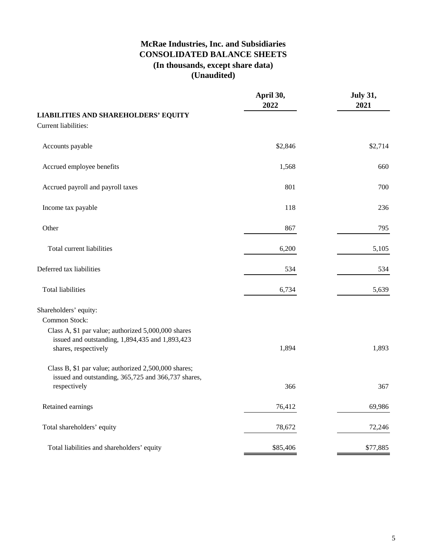# **McRae Industries, Inc. and Subsidiaries CONSOLIDATED BALANCE SHEETS (In thousands, except share data) (Unaudited)**

|                                                                                                                                | April 30,<br>2022 | <b>July 31,</b><br>2021 |
|--------------------------------------------------------------------------------------------------------------------------------|-------------------|-------------------------|
| <b>LIABILITIES AND SHAREHOLDERS' EQUITY</b>                                                                                    |                   |                         |
| Current liabilities:                                                                                                           |                   |                         |
| Accounts payable                                                                                                               | \$2,846           | \$2,714                 |
| Accrued employee benefits                                                                                                      | 1,568             | 660                     |
| Accrued payroll and payroll taxes                                                                                              | 801               | 700                     |
| Income tax payable                                                                                                             | 118               | 236                     |
| Other                                                                                                                          | 867               | 795                     |
| Total current liabilities                                                                                                      | 6,200             | 5,105                   |
| Deferred tax liabilities                                                                                                       | 534               | 534                     |
| <b>Total liabilities</b>                                                                                                       | 6,734             | 5,639                   |
| Shareholders' equity:<br>Common Stock:                                                                                         |                   |                         |
| Class A, \$1 par value; authorized 5,000,000 shares<br>issued and outstanding, 1,894,435 and 1,893,423<br>shares, respectively | 1,894             | 1,893                   |
| Class B, \$1 par value; authorized 2,500,000 shares;<br>issued and outstanding, 365,725 and 366,737 shares,<br>respectively    | 366               | 367                     |
| Retained earnings                                                                                                              | 76,412            | 69,986                  |
| Total shareholders' equity                                                                                                     | 78,672            | 72,246                  |
| Total liabilities and shareholders' equity                                                                                     | \$85,406          | \$77,885                |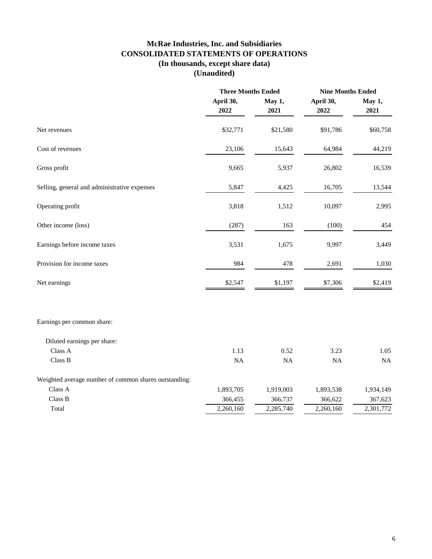## **McRae Industries, Inc. and Subsidiaries CONSOLIDATED STATEMENTS OF OPERATIONS (In thousands, except share data) (Unaudited)**

|                                                       | <b>Three Months Ended</b> |                | <b>Nine Months Ended</b> |                |
|-------------------------------------------------------|---------------------------|----------------|--------------------------|----------------|
|                                                       | April 30,<br>2022         | May 1,<br>2021 | April 30,<br>2022        | May 1,<br>2021 |
| Net revenues                                          | \$32,771                  | \$21,580       | \$91,786                 | \$60,758       |
| Cost of revenues                                      | 23,106                    | 15,643         | 64,984                   | 44,219         |
| Gross profit                                          | 9,665                     | 5,937          | 26,802                   | 16,539         |
| Selling, general and administrative expenses          | 5,847                     | 4,425          | 16,705                   | 13,544         |
| Operating profit                                      | 3,818                     | 1,512          | 10,097                   | 2,995          |
| Other income (loss)                                   | (287)                     | 163            | (100)                    | 454            |
| Earnings before income taxes                          | 3,531                     | 1,675          | 9,997                    | 3,449          |
| Provision for income taxes                            | 984                       | 478            | 2,691                    | 1,030          |
| Net earnings                                          | \$2,547                   | \$1,197        | \$7,306                  | \$2,419        |
| Earnings per common share:                            |                           |                |                          |                |
| Diluted earnings per share:                           |                           |                |                          |                |
| Class A                                               | 1.13                      | 0.52           | 3.23                     | 1.05           |
| Class B                                               | NA                        | NA             | <b>NA</b>                | NA             |
| Weighted average number of common shares outstanding: |                           |                |                          |                |
| Class A                                               | 1,893,705                 | 1,919,003      | 1,893,538                | 1,934,149      |
| Class B                                               | 366,455                   | 366,737        | 366,622                  | 367,623        |
| Total                                                 | 2,260,160                 | 2,285,740      | $\overline{2,}260,160$   | 2,301,772      |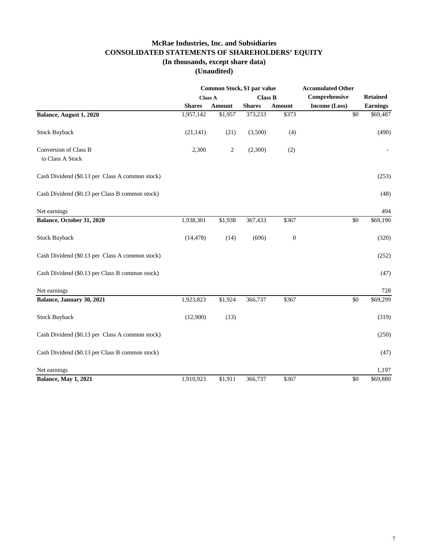## **McRae Industries, Inc. and Subsidiaries CONSOLIDATED STATEMENTS OF SHAREHOLDERS' EQUITY (In thousands, except share data)**

**(Unaudited)**

|                                                 | Common Stock, \$1 par value |                |                |                  | <b>Accumulated Other</b> |                 |  |
|-------------------------------------------------|-----------------------------|----------------|----------------|------------------|--------------------------|-----------------|--|
|                                                 | <b>Class A</b>              |                | <b>Class B</b> |                  | Comprehensive            | <b>Retained</b> |  |
|                                                 | <b>Shares</b>               | <b>Amount</b>  | <b>Shares</b>  | Amount           | Income (Loss)            | <b>Earnings</b> |  |
| Balance, August 1, 2020                         | 1,957,142                   | \$1,957        | 373,233        | \$373            | $\overline{50}$          | \$69,487        |  |
| <b>Stock Buyback</b>                            | (21, 141)                   | (21)           | (3,500)        | (4)              |                          | (490)           |  |
| Conversion of Class B                           | 2,300                       | $\overline{c}$ | (2,300)        | (2)              |                          |                 |  |
| to Class A Stock                                |                             |                |                |                  |                          |                 |  |
| Cash Dividend (\$0.13 per Class A common stock) |                             |                |                |                  |                          | (253)           |  |
| Cash Dividend (\$0.13 per Class B common stock) |                             |                |                |                  |                          | (48)            |  |
| Net earnings                                    |                             |                |                |                  |                          | 494             |  |
| Balance, October 31, 2020                       | 1,938,301                   | \$1,938        | 367,433        | \$367            | \$0                      | \$69,190        |  |
| <b>Stock Buyback</b>                            | (14, 478)                   | (14)           | (696)          | $\boldsymbol{0}$ |                          | (320)           |  |
| Cash Dividend (\$0.13 per Class A common stock) |                             |                |                |                  |                          | (252)           |  |
| Cash Dividend (\$0.13 per Class B common stock) |                             |                |                |                  |                          | (47)            |  |
| Net earnings                                    |                             |                |                |                  |                          | 728             |  |
| Balance, January 30, 2021                       | 1,923,823                   | \$1,924        | 366,737        | \$367            | \$0                      | \$69,299        |  |
| <b>Stock Buyback</b>                            | (12,900)                    | (13)           |                |                  |                          | (319)           |  |
| Cash Dividend (\$0.13 per Class A common stock) |                             |                |                |                  |                          | (250)           |  |
| Cash Dividend (\$0.13 per Class B common stock) |                             |                |                |                  |                          | (47)            |  |
| Net earnings                                    |                             |                |                |                  |                          | 1,197           |  |
| <b>Balance, May 1, 2021</b>                     | 1,910,923                   | \$1,911        | 366,737        | \$367            | \$0                      | \$69,880        |  |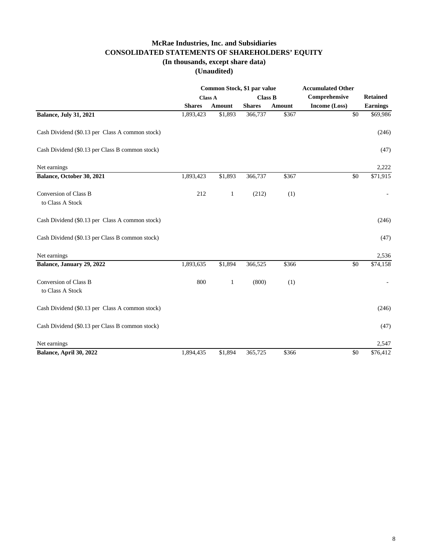### **McRae Industries, Inc. and Subsidiaries CONSOLIDATED STATEMENTS OF SHAREHOLDERS' EQUITY (In thousands, except share data)**

**(Unaudited)**

|                                                 | Common Stock, \$1 par value |         |                |        | <b>Accumulated Other</b> |                 |
|-------------------------------------------------|-----------------------------|---------|----------------|--------|--------------------------|-----------------|
|                                                 | <b>Class A</b>              |         | <b>Class B</b> |        | Comprehensive            | <b>Retained</b> |
|                                                 | <b>Shares</b>               | Amount  | <b>Shares</b>  | Amount | Income (Loss)            | <b>Earnings</b> |
| <b>Balance, July 31, 2021</b>                   | 1,893,423                   | \$1,893 | 366,737        | \$367  | $\overline{50}$          | \$69,986        |
| Cash Dividend (\$0.13 per Class A common stock) |                             |         |                |        |                          | (246)           |
| Cash Dividend (\$0.13 per Class B common stock) |                             |         |                |        |                          | (47)            |
| Net earnings                                    |                             |         |                |        |                          | 2,222           |
| Balance, October 30, 2021                       | 1,893,423                   | \$1,893 | 366,737        | \$367  | \$0                      | \$71,915        |
| Conversion of Class B<br>to Class A Stock       | 212                         | 1       | (212)          | (1)    |                          |                 |
| Cash Dividend (\$0.13 per Class A common stock) |                             |         |                |        |                          | (246)           |
| Cash Dividend (\$0.13 per Class B common stock) |                             |         |                |        |                          | (47)            |
| Net earnings                                    |                             |         |                |        |                          | 2,536           |
| Balance, January 29, 2022                       | 1,893,635                   | \$1,894 | 366,525        | \$366  | \$0                      | \$74,158        |
| Conversion of Class B<br>to Class A Stock       | 800                         | 1       | (800)          | (1)    |                          |                 |
| Cash Dividend (\$0.13 per Class A common stock) |                             |         |                |        |                          | (246)           |
| Cash Dividend (\$0.13 per Class B common stock) |                             |         |                |        |                          | (47)            |
| Net earnings                                    |                             |         |                |        |                          | 2,547           |
| Balance, April 30, 2022                         | 1,894,435                   | \$1,894 | 365,725        | \$366  | \$0                      | \$76,412        |